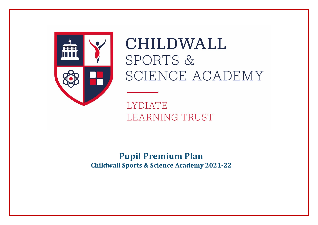

**CHILDWALL** SPORTS & SCIENCE ACADEMY

**LYDIATE LEARNING TRUST** 

**Pupil Premium Plan Childwall Sports & Science Academy 2021-22**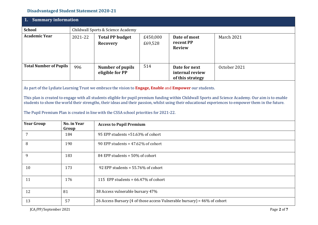## **Disadvantaged Student Statement 2020-21**

| <b>Summary information</b><br>1.                                                                                                                                                                                                                                                                                                                                                                                                                                                                                   |                             |                                                                          |                                                                                 |                                                      |              |  |  |
|--------------------------------------------------------------------------------------------------------------------------------------------------------------------------------------------------------------------------------------------------------------------------------------------------------------------------------------------------------------------------------------------------------------------------------------------------------------------------------------------------------------------|-----------------------------|--------------------------------------------------------------------------|---------------------------------------------------------------------------------|------------------------------------------------------|--------------|--|--|
| <b>School</b>                                                                                                                                                                                                                                                                                                                                                                                                                                                                                                      |                             | Childwall Sports & Science Academy                                       |                                                                                 |                                                      |              |  |  |
| <b>Academic Year</b>                                                                                                                                                                                                                                                                                                                                                                                                                                                                                               | 2021-22                     | <b>Total PP budget</b><br><b>Recovery</b>                                | £450,000<br>Date of most<br>March 2021<br>recent PP<br>£69,528<br><b>Review</b> |                                                      |              |  |  |
| <b>Total Number of Pupils</b>                                                                                                                                                                                                                                                                                                                                                                                                                                                                                      | 996                         | <b>Number of pupils</b><br>eligible for PP                               | 514                                                                             | Date for next<br>internal review<br>of this strategy | October 2021 |  |  |
| As part of the Lydiate Learning Trust we embrace the vision to Engage, Enable and Empower our students.<br>This plan is created to engage with all students eligible for pupil premium funding within Childwall Sports and Science Academy. Our aim is to enable<br>students to show the world their strengths, their ideas and their passion, whilst using their educational experiences to empower them in the future.<br>The Pupil Premium Plan is created in line with the CSSA school priorities for 2021-22. |                             |                                                                          |                                                                                 |                                                      |              |  |  |
| <b>Year Group</b>                                                                                                                                                                                                                                                                                                                                                                                                                                                                                                  | <b>No. in Year</b><br>Group |                                                                          | <b>Access to Pupil Premium</b>                                                  |                                                      |              |  |  |
| $7\overline{ }$                                                                                                                                                                                                                                                                                                                                                                                                                                                                                                    | 184                         |                                                                          | 95 EPP students =51.63% of cohort                                               |                                                      |              |  |  |
| 8                                                                                                                                                                                                                                                                                                                                                                                                                                                                                                                  | 190                         |                                                                          | 90 EPP students = $47.62\%$ of cohort                                           |                                                      |              |  |  |
| 9                                                                                                                                                                                                                                                                                                                                                                                                                                                                                                                  | 183                         |                                                                          | 84 EPP students = 50% of cohort                                                 |                                                      |              |  |  |
| 10                                                                                                                                                                                                                                                                                                                                                                                                                                                                                                                 | 173                         | 92 EPP students = 55.76% of cohort                                       |                                                                                 |                                                      |              |  |  |
| 11                                                                                                                                                                                                                                                                                                                                                                                                                                                                                                                 | 176                         |                                                                          | 115 EPP students = $66.47\%$ of cohort                                          |                                                      |              |  |  |
| 12                                                                                                                                                                                                                                                                                                                                                                                                                                                                                                                 | 81                          | 38 Access vulnerable bursary 47%                                         |                                                                                 |                                                      |              |  |  |
| 13                                                                                                                                                                                                                                                                                                                                                                                                                                                                                                                 | 57                          | 26 Access Bursary (4 of those access Vulnerable bursary) = 46% of cohort |                                                                                 |                                                      |              |  |  |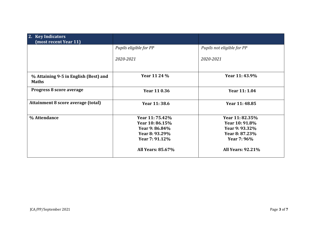| 2. Key Indicators<br>(most recent Year 11)            |                          |                            |  |  |
|-------------------------------------------------------|--------------------------|----------------------------|--|--|
|                                                       | Pupils eligible for PP   | Pupils not eligible for PP |  |  |
|                                                       | 2020-2021                | 2020-2021                  |  |  |
| % Attaining 9-5 in English (Best) and<br><b>Maths</b> | Year 11 24 %             | Year 11:43.9%              |  |  |
| Progress 8 score average                              | Year 11 0.36             | Year 11: 1.04              |  |  |
| Attainment 8 score average (total)                    | Year 11:38.6             | Year 11:48.85              |  |  |
| % Attendance                                          | Year 11: 75.42%          | Year 11: 82.35%            |  |  |
|                                                       | Year 10:86.15%           | Year 10: 91.8%             |  |  |
|                                                       | Year 9: 86.84%           | Year 9: 93.32%             |  |  |
|                                                       | Year 8: 93.29%           | Year 8: 87.23%             |  |  |
|                                                       | Year 7: 91.12%           | Year 7: 96%                |  |  |
|                                                       | <b>All Years: 85.67%</b> | <b>All Years: 92.21%</b>   |  |  |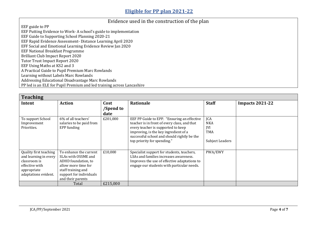## Evidence used in the construction of the plan

EEF guide to PP

EEF Putting Evidence to Work- A school's guide to implementation EEF Guide to Supporting School Planning 2020-21 EEF Rapid Evidence Assessment- Distance Learning April 2020 EFF Social and Emotional Learning Evidence Review Jan 2020 EEF National Breakfast Programme Brilliant Club Impact Report 2020 Tutor Trust Impact Report 2020 EEF Using Maths at KS2 and 3 A Practical Guide to Pupil Premium Marc Rowlands Learning without Labels Marc Rowlands Addressing Educational Disadvantage Marc Rowlands PP led is an ELE for Pupil Premium and led training across Lancashire

| <b>Teaching</b>                                                                                                          |                                                                                                                                                                   |           |                                                                                                                                                                                                                                                          |                                                                  |                        |  |  |
|--------------------------------------------------------------------------------------------------------------------------|-------------------------------------------------------------------------------------------------------------------------------------------------------------------|-----------|----------------------------------------------------------------------------------------------------------------------------------------------------------------------------------------------------------------------------------------------------------|------------------------------------------------------------------|------------------------|--|--|
| Intent                                                                                                                   | <b>Action</b>                                                                                                                                                     | Cost      | Rationale                                                                                                                                                                                                                                                | <b>Staff</b>                                                     | <b>Impacts 2021-22</b> |  |  |
|                                                                                                                          |                                                                                                                                                                   | /Spend to |                                                                                                                                                                                                                                                          |                                                                  |                        |  |  |
|                                                                                                                          |                                                                                                                                                                   | date      |                                                                                                                                                                                                                                                          |                                                                  |                        |  |  |
| To support School<br>Improvement<br>Priorities.                                                                          | 6% of all teachers'<br>salaries to be paid from<br>EPP funding                                                                                                    | £201,000  | EEF PP Guide to EPP. "Ensuring an effective<br>teacher is in front of every class, and that<br>every teacher is supported to keep<br>improving, is the key ingredient of a<br>successful school and should rightly be the<br>top priority for spending." | JCA<br><b>NKA</b><br><b>IVI</b><br><b>TMA</b><br>Subject Leaders |                        |  |  |
| Quality first teaching<br>and learning in every<br>classroom is<br>effective with<br>appropriate<br>adaptations evident. | To enhance the current<br>SLAs with OSSME and<br>ADHD foundation, to<br>allow more time for<br>staff training and<br>support for individuals<br>and their parents | £10,000   | Specialist support for students, teachers,<br>LSAs and families increases awareness.<br>Improves the use of effective adaptations to<br>engage our students with particular needs.                                                                       | PWA/EWY                                                          |                        |  |  |
|                                                                                                                          | Total                                                                                                                                                             | £215,000  |                                                                                                                                                                                                                                                          |                                                                  |                        |  |  |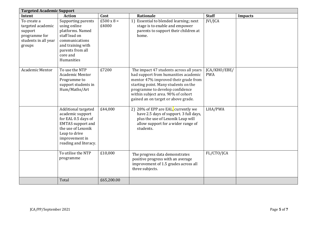| <b>Targeted Academic Support</b>                                                               |                                                                                                                                                                              |                            |                                                                                                                                                                                                                                                                                 |                            |                |  |  |
|------------------------------------------------------------------------------------------------|------------------------------------------------------------------------------------------------------------------------------------------------------------------------------|----------------------------|---------------------------------------------------------------------------------------------------------------------------------------------------------------------------------------------------------------------------------------------------------------------------------|----------------------------|----------------|--|--|
| Intent                                                                                         | <b>Action</b>                                                                                                                                                                | Cost                       | Rationale                                                                                                                                                                                                                                                                       | <b>Staff</b>               | <b>Impacts</b> |  |  |
| To create a<br>targeted academic<br>support<br>programme for<br>students in all year<br>groups | Supporting parents<br>using online<br>platforms. Named<br>staff lead on<br>communications<br>and training with<br>parents from all<br>core and<br>Humanities                 | $£500 \times 8 =$<br>£4000 | 1) Essential to blended learning; next<br>stage is to enable and empower<br>parents to support their children at<br>home.                                                                                                                                                       | JVI/JCA                    |                |  |  |
| Academic Mentor                                                                                | To use the NTP<br><b>Academic Mentor</b><br>Programme to<br>support students in<br>Hum/Maths/Art                                                                             | £7200                      | The impact 47 students across all years<br>had support from humanities academic<br>mentor 47% improved their grade from<br>starting point. Many students on the<br>programme to develop confidence<br>within subject area. 90% of cohort<br>gained an on target or above grade. | JCA/KHO/EBE/<br><b>PWA</b> |                |  |  |
|                                                                                                | Additional targeted<br>academic support<br>for EAL 0.5 days of<br><b>EMTAS</b> support and<br>the use of Lexonik<br>Leap to drive<br>improvement in<br>reading and literacy. | £44,000                    | 2) 28% of EPP are EAL, currently we<br>have 2.5 days of support. 3 full days,<br>plus the use of Lexonik Leap will<br>allow support for a wider range of<br>students.                                                                                                           | LHA/PWA                    |                |  |  |
|                                                                                                | To utilise the NTP<br>programme                                                                                                                                              | £10,000                    | The progress data demonstrates<br>positive progress with an average<br>improvement of 1.5 grades across all<br>three subjects.                                                                                                                                                  | FL/CTO/JCA                 |                |  |  |
|                                                                                                | Total                                                                                                                                                                        | £65,200.00                 |                                                                                                                                                                                                                                                                                 |                            |                |  |  |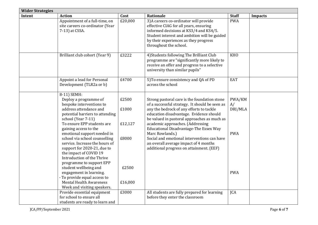| <b>Wider Strategies</b> |                                                                                                                                                                                                                                                                                                              |                                    |                                                                                                                                                                                                                                                                                                                                                                                                                               |                                       |                |  |  |
|-------------------------|--------------------------------------------------------------------------------------------------------------------------------------------------------------------------------------------------------------------------------------------------------------------------------------------------------------|------------------------------------|-------------------------------------------------------------------------------------------------------------------------------------------------------------------------------------------------------------------------------------------------------------------------------------------------------------------------------------------------------------------------------------------------------------------------------|---------------------------------------|----------------|--|--|
| Intent                  | <b>Action</b>                                                                                                                                                                                                                                                                                                | Cost                               | Rationale                                                                                                                                                                                                                                                                                                                                                                                                                     | <b>Staff</b>                          | <b>Impacts</b> |  |  |
|                         | Appointment of a full-time, on<br>site careers co-ordinator (Year<br>7-13) at CSSA.                                                                                                                                                                                                                          | £20,000                            | 3) A careers co-ordinator will provide<br>effective CIAG for all years, ensuring<br>informed decisions at KS3/4 and KS4/5.<br>Student interest and ambition will be guided<br>by their experiences as they progress<br>throughout the school.                                                                                                                                                                                 | <b>PWA</b>                            |                |  |  |
|                         | Brilliant club cohort (Year 9)                                                                                                                                                                                                                                                                               | £3222                              | 4) Students following The Brilliant Club<br>programme are "significantly more likely to<br>receive an offer and progress to a selective<br>university than similar pupils"                                                                                                                                                                                                                                                    | <b>KHO</b>                            |                |  |  |
|                         | Appoint a lead for Personal<br>Development (TLR2a or b)                                                                                                                                                                                                                                                      | £4700                              | 5) To ensure consistency and QA of PD<br>across the school                                                                                                                                                                                                                                                                                                                                                                    | EAT                                   |                |  |  |
|                         | 8-11) SEMH:<br>Deploy a programme of<br>bespoke interventions to<br>address attendance and<br>potential barriers to attending<br>school (Year 7-11)<br>To ensure EPP students are<br>gaining access to the<br>emotional support needed in<br>school via school counselling<br>service. Increase the hours of | £2500<br>£1000<br>£12,127<br>£8000 | Strong pastoral care is the foundation stone<br>of a successful strategy. It should be seen as<br>any the bedrock of any efforts to tackle<br>education disadvantage. Evidence should<br>be valued in pastoral approaches as much as<br>academic approaches. (Addressing<br>Educational Disadvantage-The Essex Way<br>Marc Rowlands.)<br>Social and emotional interventions can have<br>an overall average impact of 4 months | PWA/KM<br>A/<br>DRI/MLA<br><b>PWA</b> |                |  |  |
|                         | support for 2020-21, due to<br>the impact of COVID 19<br>Introduction of the Thrive<br>programme to support EPP<br>student wellbeing and<br>engagement in learning.<br>To provide equal access to<br><b>Mental Health Awareness</b><br>Week and visiting speakers.<br>Provide essential equipment            | £2500<br>£16,000<br>£3000          | additional progress on attainment. (EEF)<br>All students are fully prepared for learning                                                                                                                                                                                                                                                                                                                                      | <b>PWA</b><br><b>JCA</b>              |                |  |  |
|                         | for school to ensure all<br>students are ready to learn and                                                                                                                                                                                                                                                  |                                    | before they enter the classroom                                                                                                                                                                                                                                                                                                                                                                                               |                                       |                |  |  |